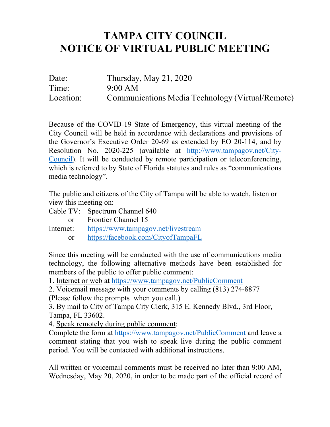## **TAMPA CITY COUNCIL NOTICE OF VIRTUAL PUBLIC MEETING**

| Date:     | Thursday, May $21, 2020$                         |
|-----------|--------------------------------------------------|
| Time:     | 9:00 AM                                          |
| Location: | Communications Media Technology (Virtual/Remote) |

 Because of the COVID-19 State of Emergency, this virtual meeting of the City Council will be held in accordance with declarations and provisions of the Governor's Executive Order 20-69 as extended by EO 20-114, and by Resolution No. 2020-225 (available at http://www.tampagov.net/City-Council). It will be conducted by remote participation or teleconferencing, which is referred to by State of Florida statutes and rules as "communications media technology".

 The public and citizens of the City of Tampa will be able to watch, listen or view this meeting on:

Cable TV: Spectrum Channel 640

 $\alpha$ https://www.tampagov.net/livestream Frontier Channel 15 Internet: https://www.tampagov.net/livestream<br>or https://facebook.com/CityofTampaFL

 Since this meeting will be conducted with the use of communications media technology, the following alternative methods have been established for members of the public to offer public comment:

1. Internet or web at https://www.tampagov.net/PublicComment

2. Voicemail message with your comments by calling (813) 274-8877 (Please follow the prompts when you call.)

3. By mail to City of Tampa City Clerk, 315 E. Kennedy Blvd., 3rd Floor, Tampa, FL 33602.

4. Speak remotely during public comment:

Complete the form at https://www.tampagov.net/PublicComment and leave a comment stating that you wish to speak live during the public comment period. You will be contacted with additional instructions.

 All written or voicemail comments must be received no later than 9:00 AM, Wednesday, May 20, 2020, in order to be made part of the official record of